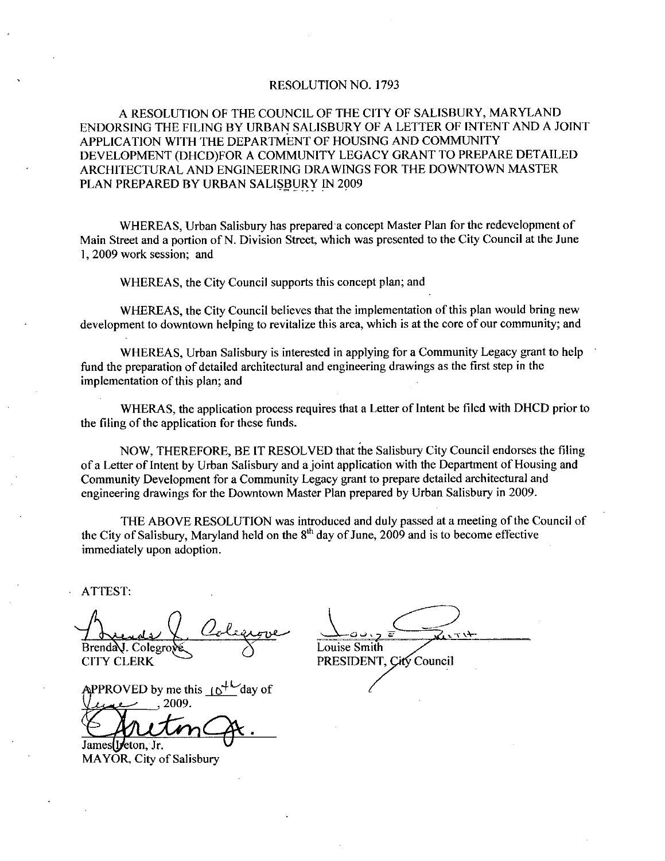# RESOLUTION NO. 1793

A RESOLUTION OF THE COUNCIL OF THE CITY OF SALISBURY MARYLAND ENDORSING THE FILING BY URBAN SALISBURY OF A LETTER OF INTENT AND A JOINT APPLICATION WITH THE DEPARTMENT OF HOUSING AND COMMUNITY DEVELOPMENT (DHCD)FOR A COMMUNITY LEGACY GRANT TO PREPARE DETAILED ARCHITECTURALAND ENGINEERING DRAWINGS FOR THE DOWNTOWN MASTER PLAN PREPARED BY URBAN SALISBURY IN 2009

WHEREAS, Urban Salisbury has prepared a concept Master Plan for the redevelopment of Main Street and a portion of N. Division Street, which was presented to the City Council at the June 1, 2009 work session; and

WHEREAS, the City Council supports this concept plan; and

WHEREAS, the City Council believes that the implementation of this plan would bring new development to downtown helping to revitalize this area, which is at the core of our community; and

WHEREAS, Urban Salisbury is interested in applying for a Community Legacy grant to help fund the preparation of detailed architectural and engineering drawings as the first step in the implementation of this plan; and

WHERAS, the application process requires that a Letter of Intent be filed with DHCD prior to the filing of the application for these funds.

NOW, THEREFORE, BE IT RESOLVED that the Salisbury City Council endorses the filing of a Letter of Intent by Urban Salisbury and a joint application with the Department of Housing and Community Development for aCommunity Legacy grant to prepare detailed architectural and engineering drawings for the Downtown Master Plan prepared by Urban Salisbury in 2009

THE ABOVE RESOLUTION was introduced and duly passed at a meeting of the Council of the City of Salisbury, Maryland held on the  $8<sup>th</sup>$  day of June, 2009 and is to become effective immediately upon adoption

ATTEST

Brenda U. Colegrove CITY CLERK PRESIDENT

APPROVED by me this  $\int_0^{+\infty}$  day of 2009

James Heton Jr.

MAYOR, City of Salisbury

PRESIDENT. City Council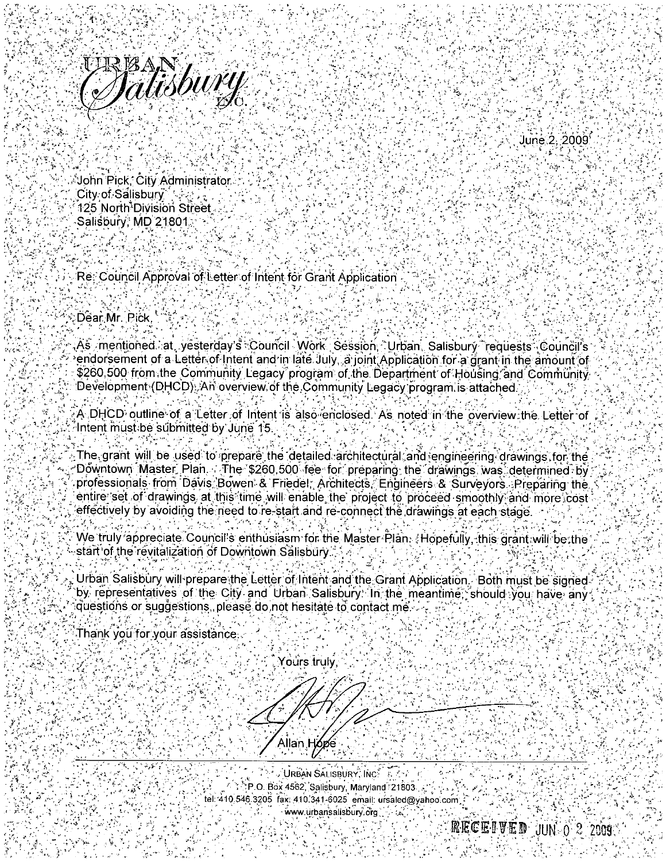



َ John Pick, City Administrator City of Salisbury 125 North<sup>3</sup>Division Street Salisbury; MD 21801.

حافظتين

일본 일 포 다

Re. Council Approval of Letter of Intent for Grant Application

Dear Mr. Pick

As mentioned∴at, yesterday's Council Work Séssion, `Urban, Salisbury `requests Council's endorsement of a Letter of Intent and in late July, a joint Application for a grant in the amount of \$260,500 from the Community Legacy program of the Department of Housing and Community Development (DHCD). An overview of the Community Legacy program is attached.

A DHCD outline of a Letter of Intent is also enclosed. As noted in the overview the Letter of Intent must be submitted by June 15.

The grant will be used to prepare the detailed architectural and engineering drawings for the Downtown\_Master\_Plan. The \$260,500 fee for preparing the drawings was determined by professionals from Davis Bowen & Friedel, Architects, Engineers & Surveyors. Preparing the entire set of drawings, at this time, will enable the project to proceed smoothly and more cost effectively by avoiding the need to re-start and re-connect the drawings at each stage.

We truly appreciate Council's enthusiasm for the Master Plan. Hopefully, this drant will be the start of the revitalization of Downtown Salisbury.

Urban Salisbury will prepare the Letter of Intent and the Grant Application. Both must be signedby representatives of the City and Urban Salisbury. In the meantime, should you have any questions or suggestions, please do not hesitate to contact me.

Thank you for your assistance

Yours truly Allan H**óp**e

**URBAN SALISBURY, INC.** A 45 T TO. Box 4562, Salisbury, Maryland 21803. tel: 410.546.3205 fax: 410.341-6025 email: ursaled@yahoo.com www.urbansalisbury.org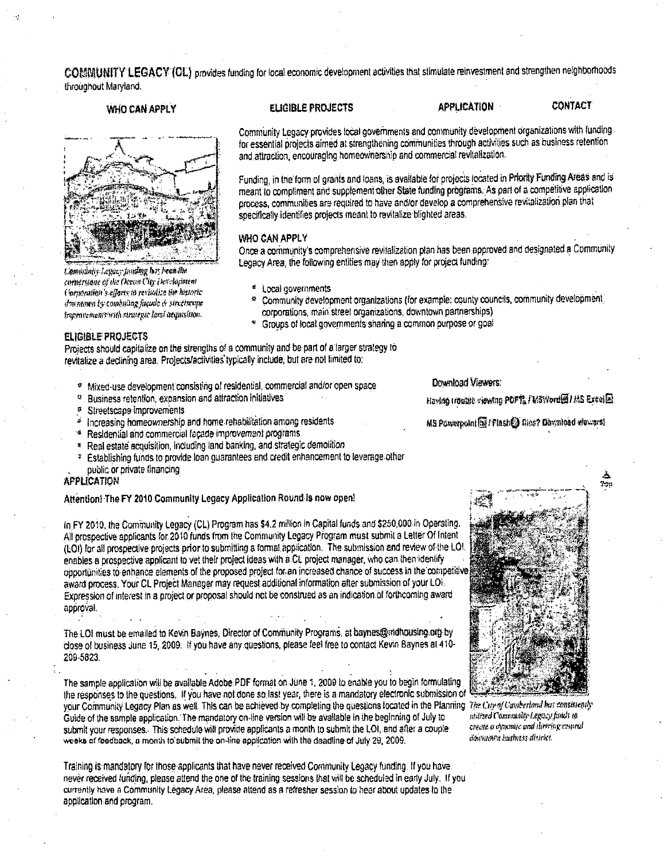COMMUNITY LEGACY (CL) provides funding for local economic development activities that stimulate reinvestment and strengthen neighborhoods throughout Maryland.

## WHO CAN APPLY



Community Legacy funding her been the cornerstone of the Ocean City Development Corporation's efforts to revisalize the historicdowntown by combining facule & streetscape Improvements with strategic land acquisition.

#### **ELIGIBLE PROJECTS**

## **CONTACT**

Community Legacy provides local governments and community development organizations with funding. for essential projects aimed at strengthening communities through activities such as business retention and attraction, encouraging homeownership and commercial revitalization.

**APPLICATION** 

Funding, in the form of grants and loans, is available for projects located in Priority Funding Areas and is meant to compliment and supplement other State funding programs. As part of a competitive application process, communities are required to have and/or develop a comprehensive revitalization plan that specifically identifies projects meant to revitalize blighted areas.

## WHO CAN APPLY

Once a community's comprehensive revitalization plan has been approved and designated a Community. Legacy Area, the following entities may then apply for project funding:

- \* Local governments
- Community development organizations (for example: county councils, community development) corporations, main street organizations, downtown partnerships)
- Groups of local governments sharing a common purpose or goal

### **FLIGIBLE PROJECTS**

Projects should capitalize on the strengths of a community and be part of a larger strategy to revitalize a declining area. Projects/activities typically include, but are not limited to:

- \* Mixed-use development consisting of residential, commercial and/or open space
- $\Omega$ Business retention, expansion and attraction initiatives
- <sup>#</sup> Streetscape improvements
- <sup>4</sup> Increasing homeownership and home rehabilitation among residents
- \* Residential and commercial facade improvement programs
- <sup>8</sup> Real estate acquisition, including land banking, and strategic demolition
- <sup>1</sup> Establishing funds to provide loan quarantees and credit enhancement to leverage other public or private financing

#### APPLICATION

Attention) The FY 2010 Community Legacy Application Round is now open!

atilized Community Legacy funds to create a dynamic and thriving contral dawntown laastness diartei.

In FY 2010, the Community Legacy (CL) Program has \$4.2 million in Capital funds and \$250,000 in Operating. All prospective applicants for 2010 funds from the Community Legacy Program must submit a Letter Of Intent (LOI) for all prospective projects prior to submitting a formal application. The submission and review of the LOI enables a prospective applicant to vet their project ideas with a CL project manager, who can then identify opportunities to enhance elements of the proposed project for an increased chance of success in the competitive award process. Your CL Project Manager may request additional information after submission of your LOI. Expression of interest in a project or proposal should not be construed as an indication of forthcoming award approval

The LOI must be emailed to Kevin Baynes, Director of Community Programs, at baynes@mohousing.org by close of business June 15, 2009. If you have any questions, please feel free to contact Kevin Baynes at 410-209-5823.

The sample application will be available Adobe PDF format on June 1, 2009 to enable you to begin formulating the responses to the questions. If you have not done so last year, there is a mandatory electronic submission of your Community Legacy Plan as well. This can be achieved by completing the questions focated in the Planning The Cuy of Cumberland has consistently Guide of the sample application. The mandatory on-line version will be available in the beginning of July to submit your responses. This schedule will provide applicants a month to submit the LOI, and after a couple weeks of feedback, a month to submit the on-line application with the deadline of July 29, 2009.

Training is mandatory for those applicants that have never received Community Legacy funding. If you have never received funding, please attend the one of the training sessions that will be scheduled in early July. If you currently have a Community Legacy Area, please attend as a refresher session to hear about updates to the application and program.

Download Viewers:

Gloose 2M (@brownp PDP) Grown others could

MS Powerpoint mil Finshed Dine? Download viewars!

گ Tou